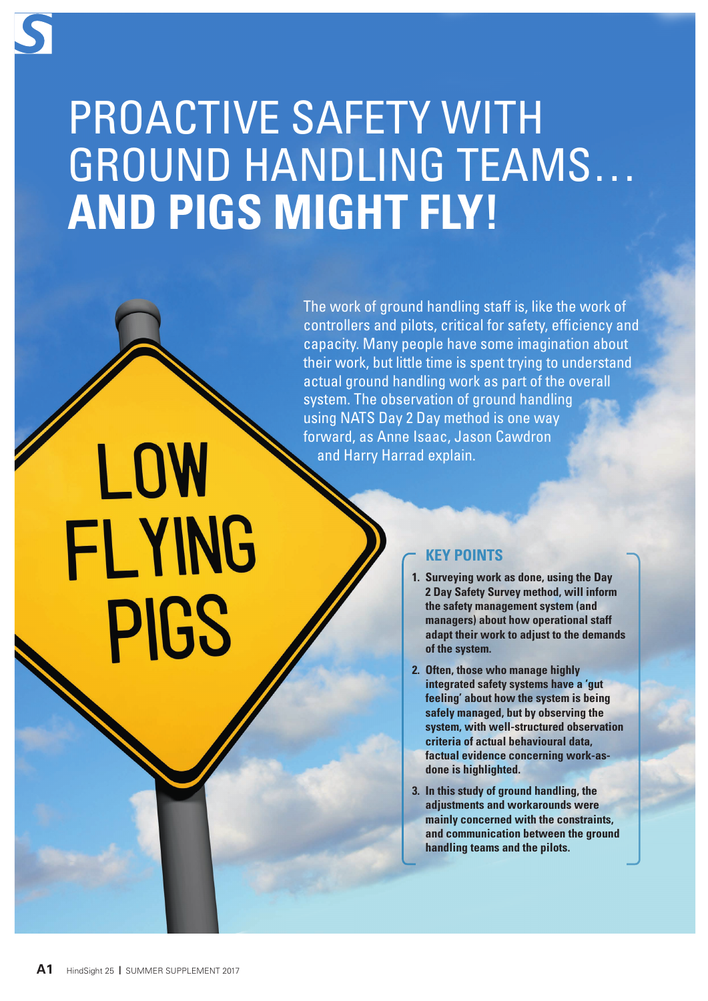## PROACTIVE SAFETY WITH GROUND HANDLING TEAMS… **AND PIGS MIGHT FLY!**

The work of ground handling staff is, like the work of controllers and pilots, critical for safety, efficiency and capacity. Many people have some imagination about their work, but little time is spent trying to understand actual ground handling work as part of the overall system. The observation of ground handling using NATS Day 2 Day method is one way forward, as Anne Isaac, Jason Cawdron and Harry Harrad explain.

## **KEY POINTS**

- **1. Surveying work as done, using the Day 2 Day Safety Survey method, will inform the safety management system (and managers) about how operational staff adapt their work to adjust to the demands of the system.**
- **2. Often, those who manage highly integrated safety systems have a 'gut feeling' about how the system is being safely managed, but by observing the system, with well-structured observation criteria of actual behavioural data, factual evidence concerning work-asdone is highlighted.**
- **3. In this study of ground handling, the adjustments and workarounds were mainly concerned with the constraints, and communication between the ground handling teams and the pilots.**

LOW

FLYING

PIGS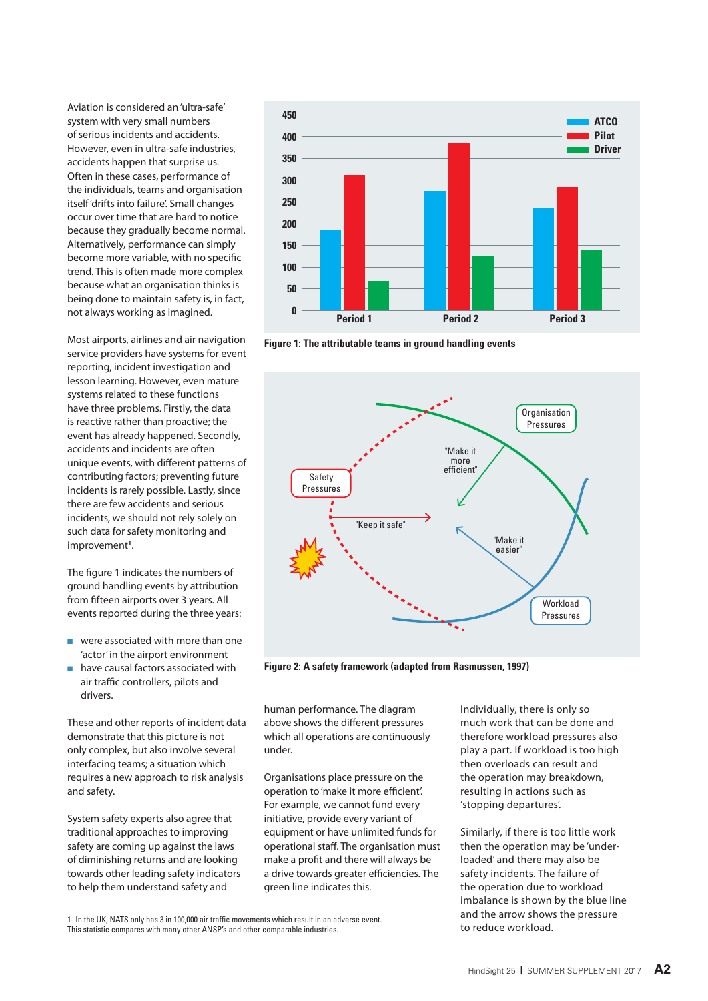Aviation is considered an 'ultra-safe' system with very small numbers of serious incidents and accidents. However, even in ultra-safe industries, accidents happen that surprise us. Often in these cases, performance of the individuals, teams and organisation itself 'drifts into failure'. Small changes occur over time that are hard to notice because they gradually become normal. Alternatively, performance can simply become more variable, with no specific trend. This is often made more complex because what an organisation thinks is being done to maintain safety is, in fact, not always working as imagined.

Most airports, airlines and air navigation service providers have systems for event reporting, incident investigation and lesson learning. However, even mature systems related to these functions have three problems. Firstly, the data is reactive rather than proactive; the event has already happened. Secondly, accidents and incidents are often unique events, with different patterns of contributing factors; preventing future incidents is rarely possible. Lastly, since there are few accidents and serious incidents, we should not rely solely on such data for safety monitoring and improvement**<sup>1</sup>** .

The figure 1 indicates the numbers of ground handling events by attribution from fifteen airports over 3 years. All events reported during the three years:

- were associated with more than one 'actor' in the airport environment
- $n$  have causal factors associated with air traffic controllers, pilots and drivers.

These and other reports of incident data demonstrate that this picture is not only complex, but also involve several interfacing teams; a situation which requires a new approach to risk analysis and safety.

System safety experts also agree that traditional approaches to improving safety are coming up against the laws of diminishing returns and are looking towards other leading safety indicators to help them understand safety and



**Figure 1: The attributable teams in ground handling events**



**Figure 2: A safety framework (adapted from Rasmussen, 1997)**

human performance. The diagram above shows the different pressures which all operations are continuously under.

Organisations place pressure on the operation to 'make it more efficient'. For example, we cannot fund every initiative, provide every variant of equipment or have unlimited funds for operational staff. The organisation must make a profit and there will always be a drive towards greater efficiencies. The green line indicates this.

Individually, there is only so much work that can be done and therefore workload pressures also play a part. If workload is too high then overloads can result and the operation may breakdown, resulting in actions such as 'stopping departures'.

Similarly, if there is too little work then the operation may be 'underloaded' and there may also be safety incidents. The failure of the operation due to workload imbalance is shown by the blue line and the arrow shows the pressure to reduce workload.

<sup>1-</sup> In the UK, NATS only has 3 in 100,000 air traffic movements which result in an adverse event. This statistic compares with many other ANSP's and other comparable industries.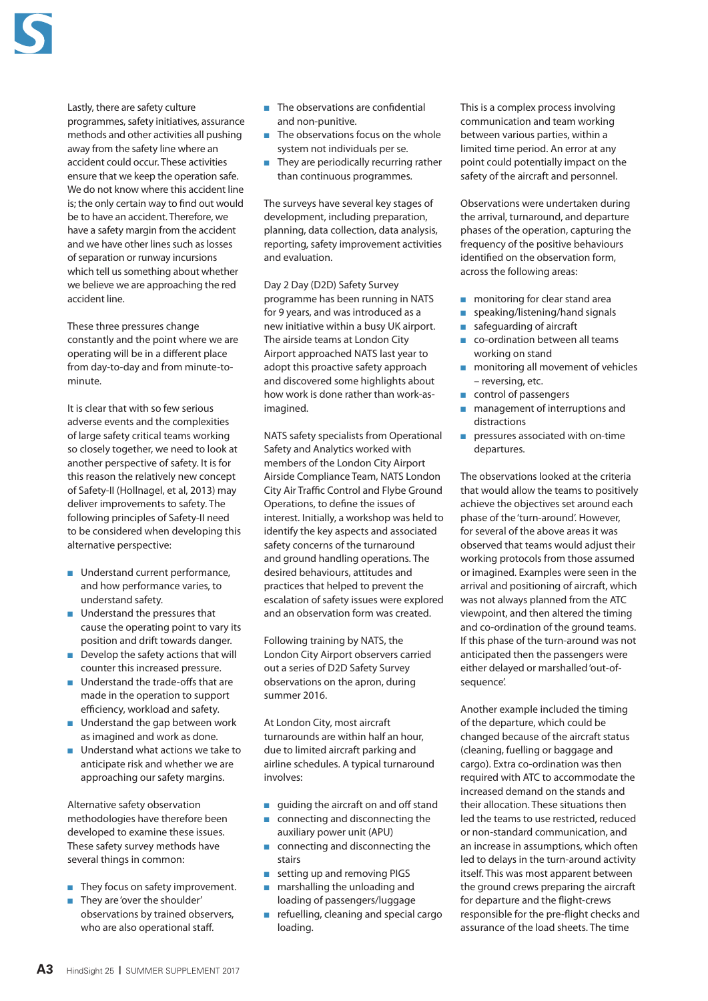

Lastly, there are safety culture programmes, safety initiatives, assurance methods and other activities all pushing away from the safety line where an accident could occur. These activities ensure that we keep the operation safe. We do not know where this accident line is; the only certain way to find out would be to have an accident. Therefore, we have a safety margin from the accident and we have other lines such as losses of separation or runway incursions which tell us something about whether we believe we are approaching the red accident line.

These three pressures change constantly and the point where we are operating will be in a different place from day-to-day and from minute-tominute.

It is clear that with so few serious adverse events and the complexities of large safety critical teams working so closely together, we need to look at another perspective of safety. It is for this reason the relatively new concept of Safety-II (Hollnagel, et al, 2013) may deliver improvements to safety. The following principles of Safety-II need to be considered when developing this alternative perspective:

- Understand current performance, and how performance varies, to understand safety.
- $\blacksquare$  Understand the pressures that cause the operating point to vary its position and drift towards danger.
- $\blacksquare$  Develop the safety actions that will counter this increased pressure.
- $\blacksquare$  Understand the trade-offs that are made in the operation to support efficiency, workload and safety.
- $\blacksquare$  Understand the gap between work as imagined and work as done.
- $\blacksquare$  Understand what actions we take to anticipate risk and whether we are approaching our safety margins.

Alternative safety observation methodologies have therefore been developed to examine these issues. These safety survey methods have several things in common:

- $\blacksquare$  They focus on safety improvement.
- They are 'over the shoulder' observations by trained observers, who are also operational staff.
- $\blacksquare$  The observations are confidential and non-punitive.
- $\blacksquare$  The observations focus on the whole system not individuals per se.
- $\blacksquare$  They are periodically recurring rather than continuous programmes.

The surveys have several key stages of development, including preparation, planning, data collection, data analysis, reporting, safety improvement activities and evaluation.

Day 2 Day (D2D) Safety Survey programme has been running in NATS for 9 years, and was introduced as a new initiative within a busy UK airport. The airside teams at London City Airport approached NATS last year to adopt this proactive safety approach and discovered some highlights about how work is done rather than work-asimagined.

NATS safety specialists from Operational Safety and Analytics worked with members of the London City Airport Airside Compliance Team, NATS London City Air Traffic Control and Flybe Ground Operations, to define the issues of interest. Initially, a workshop was held to identify the key aspects and associated safety concerns of the turnaround and ground handling operations. The desired behaviours, attitudes and practices that helped to prevent the escalation of safety issues were explored and an observation form was created.

Following training by NATS, the London City Airport observers carried out a series of D2D Safety Survey observations on the apron, during summer 2016.

At London City, most aircraft turnarounds are within half an hour, due to limited aircraft parking and airline schedules. A typical turnaround involves:

- quiding the aircraft on and off stand
- <sup>n</sup> connecting and disconnecting the auxiliary power unit (APU)
- $\blacksquare$  connecting and disconnecting the stairs
- $\blacksquare$  setting up and removing PIGS
- marshalling the unloading and loading of passengers/luggage
- $\blacksquare$  refuelling, cleaning and special cargo loading.

This is a complex process involving communication and team working between various parties, within a limited time period. An error at any point could potentially impact on the safety of the aircraft and personnel.

Observations were undertaken during the arrival, turnaround, and departure phases of the operation, capturing the frequency of the positive behaviours identified on the observation form, across the following areas:

- $\blacksquare$  monitoring for clear stand area
- speaking/listening/hand signals
- $\blacksquare$  safeguarding of aircraft
- $\Box$  co-ordination between all teams working on stand
- $\blacksquare$  monitoring all movement of vehicles – reversing, etc.
- $\Box$  control of passengers
- $\blacksquare$  management of interruptions and distractions
- $\blacksquare$  pressures associated with on-time departures.

The observations looked at the criteria that would allow the teams to positively achieve the objectives set around each phase of the 'turn-around'. However, for several of the above areas it was observed that teams would adjust their working protocols from those assumed or imagined. Examples were seen in the arrival and positioning of aircraft, which was not always planned from the ATC viewpoint, and then altered the timing and co-ordination of the ground teams. If this phase of the turn-around was not anticipated then the passengers were either delayed or marshalled 'out-ofsequence'.

Another example included the timing of the departure, which could be changed because of the aircraft status (cleaning, fuelling or baggage and cargo). Extra co-ordination was then required with ATC to accommodate the increased demand on the stands and their allocation. These situations then led the teams to use restricted, reduced or non-standard communication, and an increase in assumptions, which often led to delays in the turn-around activity itself. This was most apparent between the ground crews preparing the aircraft for departure and the flight-crews responsible for the pre-flight checks and assurance of the load sheets. The time